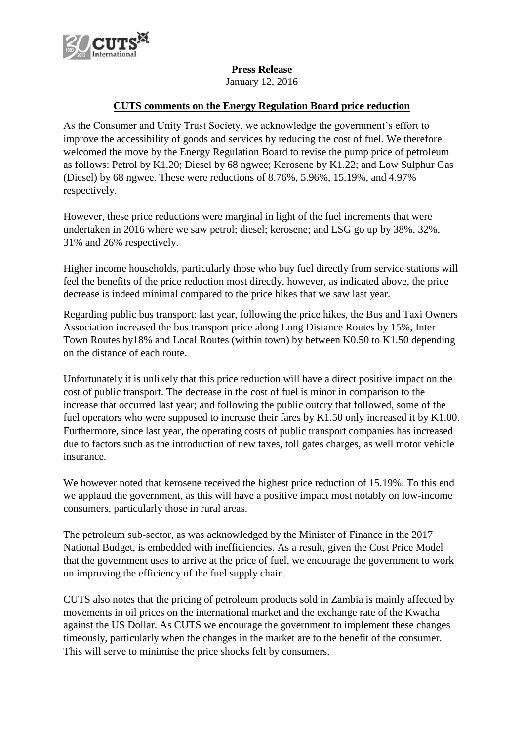

## **Press Release**

January 12, 2016

## **CUTS comments on the Energy Regulation Board price reduction**

As the Consumer and Unity Trust Society, we acknowledge the government's effort to improve the accessibility of goods and services by reducing the cost of fuel. We therefore welcomed the move by the Energy Regulation Board to revise the pump price of petroleum as follows: Petrol by K1.20; Diesel by 68 ngwee; Kerosene by K1.22; and Low Sulphur Gas (Diesel) by 68 ngwee. These were reductions of 8.76%, 5.96%, 15.19%, and 4.97% respectively.

However, these price reductions were marginal in light of the fuel increments that were undertaken in 2016 where we saw petrol; diesel; kerosene; and LSG go up by 38%, 32%, 31% and 26% respectively.

Higher income households, particularly those who buy fuel directly from service stations will feel the benefits of the price reduction most directly, however, as indicated above, the price decrease is indeed minimal compared to the price hikes that we saw last year.

Regarding public bus transport: last year, following the price hikes, the Bus and Taxi Owners Association increased the bus transport price along Long Distance Routes by 15%, Inter Town Routes by18% and Local Routes (within town) by between K0.50 to K1.50 depending on the distance of each route.

Unfortunately it is unlikely that this price reduction will have a direct positive impact on the cost of public transport. The decrease in the cost of fuel is minor in comparison to the increase that occurred last year; and following the public outcry that followed, some of the fuel operators who were supposed to increase their fares by K1.50 only increased it by K1.00. Furthermore, since last year, the operating costs of public transport companies has increased due to factors such as the introduction of new taxes, toll gates charges, as well motor vehicle insurance.

We however noted that kerosene received the highest price reduction of 15.19%. To this end we applaud the government, as this will have a positive impact most notably on low-income consumers, particularly those in rural areas.

The petroleum sub-sector, as was acknowledged by the Minister of Finance in the 2017 National Budget, is embedded with inefficiencies. As a result, given the Cost Price Model that the government uses to arrive at the price of fuel, we encourage the government to work on improving the efficiency of the fuel supply chain.

CUTS also notes that the pricing of petroleum products sold in Zambia is mainly affected by movements in oil prices on the international market and the exchange rate of the Kwacha against the US Dollar. As CUTS we encourage the government to implement these changes timeously, particularly when the changes in the market are to the benefit of the consumer. This will serve to minimise the price shocks felt by consumers.